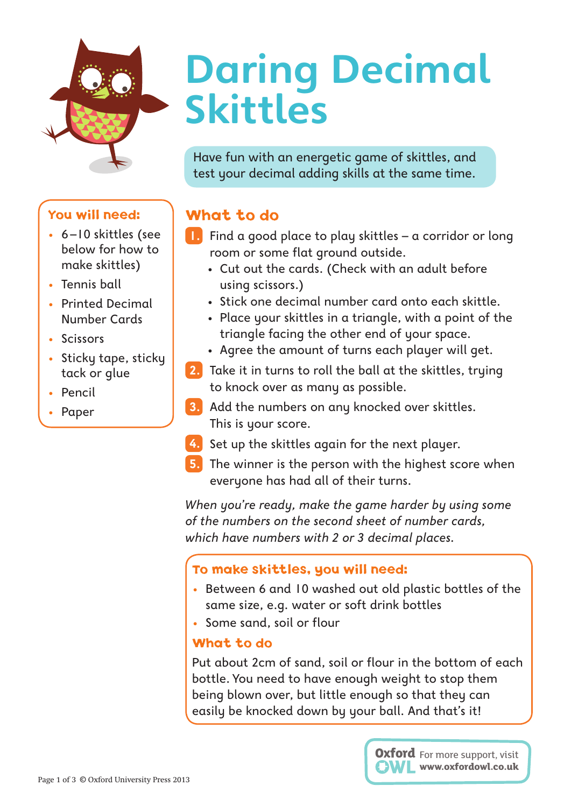# **Daring Decimal Skittles**

Have fun with an energetic game of skittles, and test your decimal adding skills at the same time.

## What to do

- **1.** Find a good place to play skittles a corridor or long room or some flat ground outside.
	- · Cut out the cards. (Check with an adult before using scissors.)
	- · Stick one decimal number card onto each skittle.
	- · Place your skittles in a triangle, with a point of the triangle facing the other end of your space.
	- · Agree the amount of turns each player will get.
- **2.** Take it in turns to roll the ball at the skittles, trying to knock over as many as possible.
- **3.** Add the numbers on any knocked over skittles. This is your score.
- **4.** Set up the skittles again for the next player.
- **5.** The winner is the person with the highest score when everyone has had all of their turns.

*When you're ready, make the game harder by using some of the numbers on the second sheet of number cards, which have numbers with 2 or 3 decimal places.*

#### To make skittles, you will need:

- Between 6 and 10 washed out old plastic bottles of the same size, e.g. water or soft drink bottles
- Some sand, soil or flour

#### What to do

Put about 2cm of sand, soil or flour in the bottom of each bottle. You need to have enough weight to stop them being blown over, but little enough so that they can easily be knocked down by your ball. And that's it!



### You will need:

- 6-10 skittles (see below for how to make skittles)
- Tennis ball
- Printed Decimal Number Cards
- Scissors
- Sticky tape, sticky tack or glue
- Pencil
- **Paper**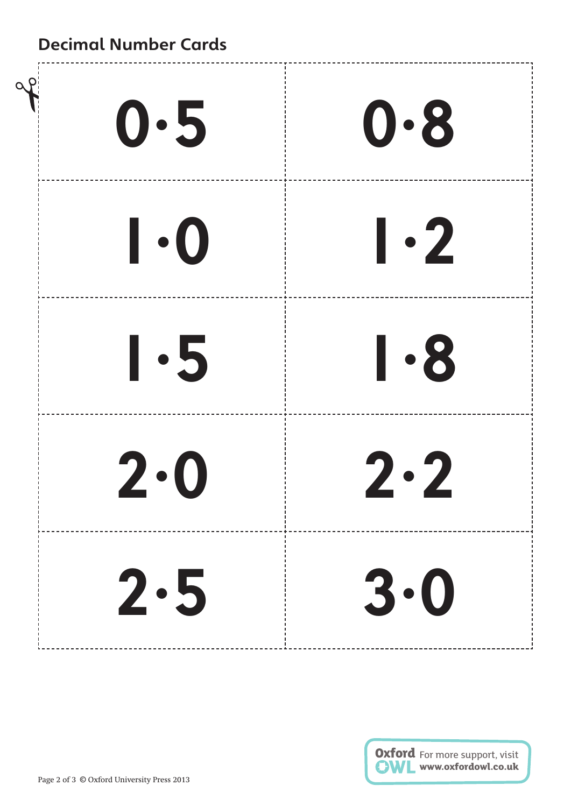## **Decimal Number Cards**

| 0.5                                                   | $\mathbf{0.8}$        |
|-------------------------------------------------------|-----------------------|
| $\boldsymbol{\mathsf{I}}\cdot\boldsymbol{\mathsf{O}}$ | $\vert \cdot 2 \vert$ |
| $\vert \cdot 5$                                       | $\vert \cdot 8$       |
| $2\cdot 0$                                            | 2·2                   |
| 2.5                                                   | 3.0                   |